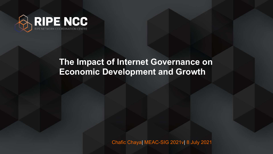Chafic Chaya| MEAC-SIG 2021v| 8 July 2021





#### **The Impact of Internet Governance on Economic Development and Growth**

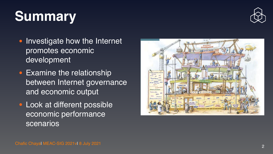

# **Summary**

- Investigate how the Internet promotes economic developmen t
- Examine the relationship between Internet governance and economic output
- Look at different possible economic performance scenarios

Chafic Chayal MEAC-SIG 2021vl 8 July 2021





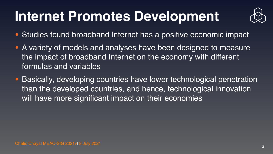Chafic Chaya| MEAC-SIG 2021v| 8 July 2021 <sup>3</sup>



## **Internet Promotes Development**

- Studies found broadband Internet has a positive economic impact
- A variety of models and analyses have been designed to measure the impact of broadband Internet on the economy with different formulas and variables
- Basically, developing countries have lower technological penetration than the developed countries, and hence, technological innovation will have more significant impact on their economies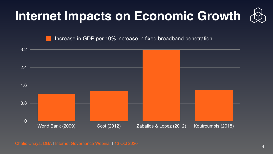Chafic Chaya, DBA | Internet Governance Webinar | 13 Oct 2020







Increase in GDP per 10% increase in fixed broadband penetration

# **Internet Impacts on Economic Growth**

4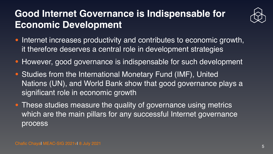#### **Good Internet Governance is Indispensable for Economic Development**

- Internet increases productivity and contributes to economic growth, it therefore deserves a central role in development strategies
- However, good governance is indispensable for such development
- Studies from the International Monetary Fund (IMF), United Nations (UN), and World Bank show that good governance plays a significant role in economic growth
- These studies measure the quality of governance using metrics which are the main pillars for any successful Internet governance process

Chafic Chayal MEAC-SIG 2021vl 8 July 2021 5

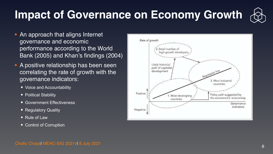#### **Impact of Governance on Economy Growth**

- An approach that aligns Internet governance and economic performance according to the World Bank (2005) and Khan's findings (2004)
- A positive relationship has been seen correlating the rate of growth with the governance indicators:
	- [Voice and Accountability](https://info.worldbank.org/governance/wgi/Home/downLoadFile?fileName=va.pdf)
	- **[Political Stability](https://info.worldbank.org/governance/wgi/Home/downLoadFile?fileName=pv.pdf)**
	- [Government Effectiveness](https://info.worldbank.org/governance/wgi/Home/downLoadFile?fileName=ge.pdf)
	- **[Regulatory Quality](https://info.worldbank.org/governance/wgi/Home/downLoadFile?fileName=rq.pdf)**
	- [Rule of Law](https://info.worldbank.org/governance/wgi/Home/downLoadFile?fileName=rl.pdf)
	- [Control of Corruption](https://info.worldbank.org/governance/wgi/Home/downLoadFile?fileName=cc.pdf)

Chafic Chayal MEAC-SIG 2021vl 8 July 2021 6 and the contract of the contract of the contract of the contract of the contract of the contract of the contract of the contract of the contract of the contract of the contract o



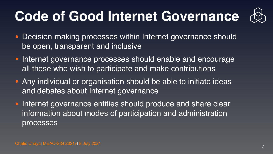# **Code of Good Internet Governance**

- Decision-making processes within Internet governance should be open, transparent and inclusive
- Internet governance processes should enable and encourage all those who wish to participate and make contributions
- Any individual or organisation should be able to initiate ideas and debates about Internet governance
- Internet governance entities should produce and share clear information about modes of participation and administration processes

Chafic Chaya MEAC-SIG 2021vl 8 July 2021

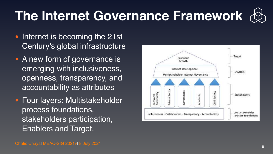# **The Internet Governance Framework**

- Internet is becoming the 21st Century's global infrastructure
- A new form of governance is emerging with inclusiveness, openness, transparency, and accountability as attributes
- Four layers: Multistakeholder process foundations, stakeholders participation, Enablers and Target.

Chafic Chayal MEAC-SIG 2021vl 8 July 2021 8 2021 8 2021 8 20 November 2014 8 2021 8 20 November 2014 8 2021 8 20







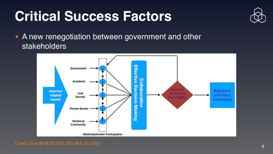Chafic Chaya| MEAC-SIG 2021v| 8 July 2021 <sup>9</sup>







# **Critical Success Factors**

• A new renegotiation between government and other stakeholders

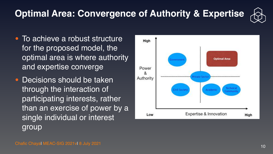#### **Optimal Area: Convergence of Authority & Expertise**

- To achieve a robust structure for the proposed model, the optimal area is where authority and expertise converge
- Decisions should be taken through the interaction of participating interests, rather than an exercise of power by a single individual or interest group

Chafic Chayal MEAC-SIG 2021vl 8 July 2021 2021 20:00:00 10 November 20:00 10 November 20:00 10



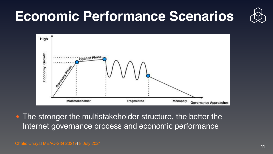#### **Economic Performance Scenarios**



**• The stronger the multistakeholder structure, the better the** Internet governance process and economic performance

Chafic Chayal MEAC-SIG 2021vl 8 July 2021 2021 20:00:00 11 No. 2010 11 No. 2010 11 No. 2010 11 No. 2010 11 No. 2010

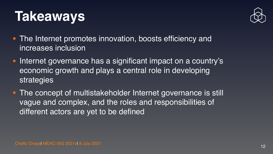Chafic Chaya| MEAC-SIG 2021v| 8 July 2021 <sup>12</sup>



### **Takeaways**

- The Internet promotes innovation, boosts efficiency and increases inclusion
- Internet governance has a significant impact on a country's economic growth and plays a central role in developing strategies
- The concept of multistakeholder Internet governance is still vague and complex, and the roles and responsibilities of different actors are yet to be defined